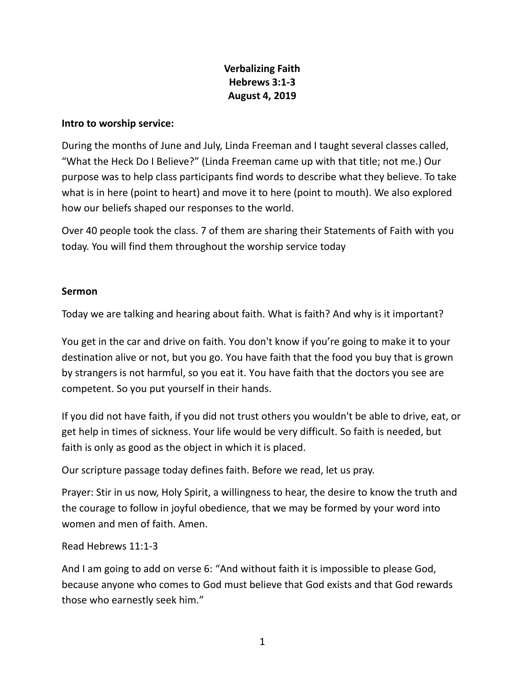## **Verbalizing Faith Hebrews 3:1-3 August 4, 2019**

## **Intro to worship service:**

During the months of June and July, Linda Freeman and I taught several classes called, "What the Heck Do I Believe?" (Linda Freeman came up with that title; not me.) Our purpose was to help class participants find words to describe what they believe. To take what is in here (point to heart) and move it to here (point to mouth). We also explored how our beliefs shaped our responses to the world.

Over 40 people took the class. 7 of them are sharing their Statements of Faith with you today. You will find them throughout the worship service today

## **Sermon**

Today we are talking and hearing about faith. What is faith? And why is it important?

You get in the car and drive on faith. You don't know if you're going to make it to your destination alive or not, but you go. You have faith that the food you buy that is grown by strangers is not harmful, so you eat it. You have faith that the doctors you see are competent. So you put yourself in their hands.

If you did not have faith, if you did not trust others you wouldn't be able to drive, eat, or get help in times of sickness. Your life would be very difficult. So faith is needed, but faith is only as good as the object in which it is placed.

Our scripture passage today defines faith. Before we read, let us pray.

Prayer: Stir in us now, Holy Spirit, a willingness to hear, the desire to know the truth and the courage to follow in joyful obedience, that we may be formed by your word into women and men of faith. Amen.

## Read Hebrews 11:1-3

And I am going to add on verse 6: "And without faith it is impossible to please God, because anyone who comes to God must believe that God exists and that God rewards those who earnestly seek him."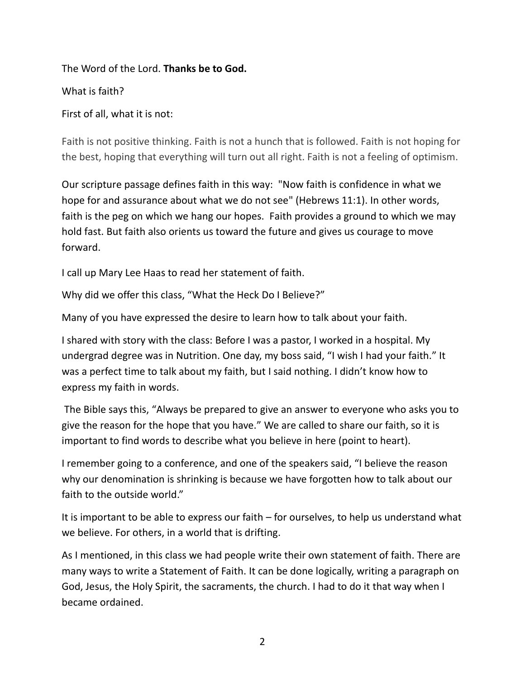The Word of the Lord. **Thanks be to God.** 

What is faith?

First of all, what it is not:

Faith is not positive thinking. Faith is not a hunch that is followed. Faith is not hoping for the best, hoping that everything will turn out all right. Faith is not a feeling of optimism.

Our scripture passage defines faith in this way: "Now faith is confidence in what we hope for and assurance about what we do not see" (Hebrews 11:1). In other words, faith is the peg on which we hang our hopes. Faith provides a ground to which we may hold fast. But faith also orients us toward the future and gives us courage to move forward.

I call up Mary Lee Haas to read her statement of faith.

Why did we offer this class, "What the Heck Do I Believe?"

Many of you have expressed the desire to learn how to talk about your faith.

I shared with story with the class: Before I was a pastor, I worked in a hospital. My undergrad degree was in Nutrition. One day, my boss said, "I wish I had your faith." It was a perfect time to talk about my faith, but I said nothing. I didn't know how to express my faith in words.

The Bible says this, "Always be prepared to give an answer to everyone who asks you to give the reason for the hope that you have." We are called to share our faith, so it is important to find words to describe what you believe in here (point to heart).

I remember going to a conference, and one of the speakers said, "I believe the reason why our denomination is shrinking is because we have forgotten how to talk about our faith to the outside world."

It is important to be able to express our faith – for ourselves, to help us understand what we believe. For others, in a world that is drifting.

As I mentioned, in this class we had people write their own statement of faith. There are many ways to write a Statement of Faith. It can be done logically, writing a paragraph on God, Jesus, the Holy Spirit, the sacraments, the church. I had to do it that way when I became ordained.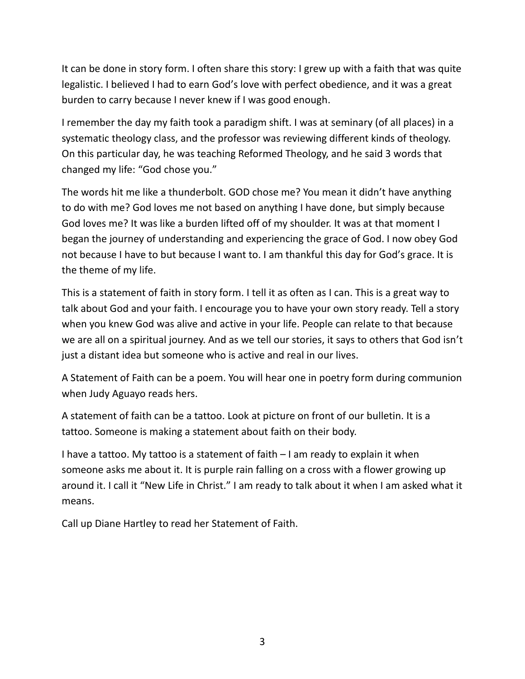It can be done in story form. I often share this story: I grew up with a faith that was quite legalistic. I believed I had to earn God's love with perfect obedience, and it was a great burden to carry because I never knew if I was good enough.

I remember the day my faith took a paradigm shift. I was at seminary (of all places) in a systematic theology class, and the professor was reviewing different kinds of theology. On this particular day, he was teaching Reformed Theology, and he said 3 words that changed my life: "God chose you."

The words hit me like a thunderbolt. GOD chose me? You mean it didn't have anything to do with me? God loves me not based on anything I have done, but simply because God loves me? It was like a burden lifted off of my shoulder. It was at that moment I began the journey of understanding and experiencing the grace of God. I now obey God not because I have to but because I want to. I am thankful this day for God's grace. It is the theme of my life.

This is a statement of faith in story form. I tell it as often as I can. This is a great way to talk about God and your faith. I encourage you to have your own story ready. Tell a story when you knew God was alive and active in your life. People can relate to that because we are all on a spiritual journey. And as we tell our stories, it says to others that God isn't just a distant idea but someone who is active and real in our lives.

A Statement of Faith can be a poem. You will hear one in poetry form during communion when Judy Aguayo reads hers.

A statement of faith can be a tattoo. Look at picture on front of our bulletin. It is a tattoo. Someone is making a statement about faith on their body.

I have a tattoo. My tattoo is a statement of faith – I am ready to explain it when someone asks me about it. It is purple rain falling on a cross with a flower growing up around it. I call it "New Life in Christ." I am ready to talk about it when I am asked what it means.

Call up Diane Hartley to read her Statement of Faith.